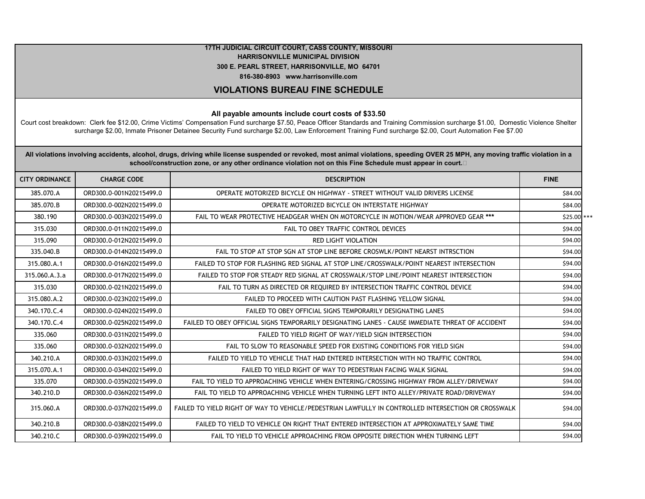## **17TH JUDICIAL CIRCUIT COURT, CASS COUNTY, MISSOURI HARRISONVILLE MUNICIPAL DIVISION 300 E. PEARL STREET, HARRISONVILLE, MO 64701 816-380-8903 www.harrisonville.com**

## **VIOLATIONS BUREAU FINE SCHEDULE**

## **All payable amounts include court costs of \$33.50**

Court cost breakdown: Clerk fee \$12.00, Crime Victims' Compensation Fund surcharge \$7.50, Peace Officer Standards and Training Commission surcharge \$1.00, Domestic Violence Shelter surcharge \$2.00, Inmate Prisoner Detainee Security Fund surcharge \$2.00, Law Enforcement Training Fund surcharge \$2.00, Court Automation Fee \$7.00

**All violations involving accidents, alcohol, drugs, driving while license suspended or revoked, most animal violations, speeding OVER 25 MPH, any moving traffic violation in a**  school/construction zone, or any other ordinance violation not on this Fine Schedule must appear in court.<sup>[2]</sup>

| <b>CITY ORDINANCE</b> | <b>CHARGE CODE</b>      | <b>DESCRIPTION</b>                                                                                  | <b>FINE</b> |
|-----------------------|-------------------------|-----------------------------------------------------------------------------------------------------|-------------|
| 385.070.A             | ORD300.0-001N20215499.0 | OPERATE MOTORIZED BICYCLE ON HIGHWAY - STREET WITHOUT VALID DRIVERS LICENSE                         | \$84.00     |
| 385.070.B             | ORD300.0-002N20215499.0 | OPERATE MOTORIZED BICYCLE ON INTERSTATE HIGHWAY                                                     | \$84.00     |
| 380.190               | ORD300.0-003N20215499.0 | FAIL TO WEAR PROTECTIVE HEADGEAR WHEN ON MOTORCYCLE IN MOTION/WEAR APPROVED GEAR ***                | \$25.00 *** |
| 315.030               | ORD300.0-011N20215499.0 | FAIL TO OBEY TRAFFIC CONTROL DEVICES                                                                | \$94.00     |
| 315.090               | ORD300.0-012N20215499.0 | <b>RED LIGHT VIOLATION</b>                                                                          | \$94.00     |
| 335.040.B             | ORD300.0-014N20215499.0 | FAIL TO STOP AT STOP SGN AT STOP LINE BEFORE CROSWLK/POINT NEARST INTRSCTION                        | \$94.00     |
| 315.080.A.1           | ORD300.0-016N20215499.0 | FAILED TO STOP FOR FLASHING RED SIGNAL AT STOP LINE/CROSSWALK/POINT NEAREST INTERSECTION            | \$94.00     |
| 315.060.A.3.a         | ORD300.0-017N20215499.0 | FAILED TO STOP FOR STEADY RED SIGNAL AT CROSSWALK/STOP LINE/POINT NEAREST INTERSECTION              | \$94.00     |
| 315.030               | ORD300.0-021N20215499.0 | FAIL TO TURN AS DIRECTED OR REQUIRED BY INTERSECTION TRAFFIC CONTROL DEVICE                         | \$94.00     |
| 315.080.A.2           | ORD300.0-023N20215499.0 | FAILED TO PROCEED WITH CAUTION PAST FLASHING YELLOW SIGNAL                                          | \$94.00     |
| 340.170.C.4           | ORD300.0-024N20215499.0 | FAILED TO OBEY OFFICIAL SIGNS TEMPORARILY DESIGNATING LANES                                         | \$94.00     |
| 340.170.C.4           | ORD300.0-025N20215499.0 | FAILED TO OBEY OFFICIAL SIGNS TEMPORARILY DESIGNATING LANES - CAUSE IMMEDIATE THREAT OF ACCIDENT    | \$94.00     |
| 335.060               | ORD300.0-031N20215499.0 | FAILED TO YIELD RIGHT OF WAY/YIELD SIGN INTERSECTION                                                | \$94.00     |
| 335.060               | ORD300.0-032N20215499.0 | FAIL TO SLOW TO REASONABLE SPEED FOR EXISTING CONDITIONS FOR YIELD SIGN                             | \$94.00     |
| 340.210.A             | ORD300.0-033N20215499.0 | FAILED TO YIELD TO VEHICLE THAT HAD ENTERED INTERSECTION WITH NO TRAFFIC CONTROL                    | \$94.00     |
| 315.070.A.1           | ORD300.0-034N20215499.0 | FAILED TO YIELD RIGHT OF WAY TO PEDESTRIAN FACING WALK SIGNAL                                       | \$94.00     |
| 335.070               | ORD300.0-035N20215499.0 | FAIL TO YIELD TO APPROACHING VEHICLE WHEN ENTERING/CROSSING HIGHWAY FROM ALLEY/DRIVEWAY             | \$94.00     |
| 340.210.D             | ORD300.0-036N20215499.0 | FAIL TO YIELD TO APPROACHING VEHICLE WHEN TURNING LEFT INTO ALLEY/PRIVATE ROAD/DRIVEWAY             | \$94.00     |
| 315.060.A             | ORD300.0-037N20215499.0 | FAILED TO YIELD RIGHT OF WAY TO VEHICLE/PEDESTRIAN LAWFULLY IN CONTROLLED INTERSECTION OR CROSSWALK | \$94.00     |
| 340.210.B             | ORD300.0-038N20215499.0 | FAILED TO YIELD TO VEHICLE ON RIGHT THAT ENTERED INTERSECTION AT APPROXIMATELY SAME TIME            | \$94.00     |
| 340.210.C             | ORD300.0-039N20215499.0 | FAIL TO YIELD TO VEHICLE APPROACHING FROM OPPOSITE DIRECTION WHEN TURNING LEFT                      | \$94.00     |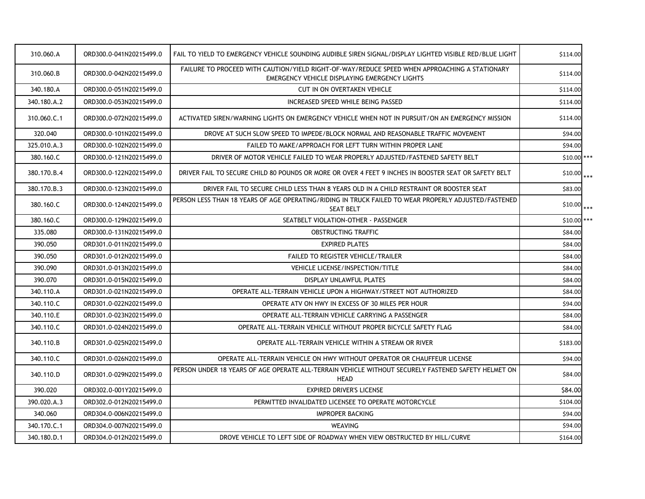| 310.060.A   | ORD300.0-041N20215499.0 | FAIL TO YIELD TO EMERGENCY VEHICLE SOUNDING AUDIBLE SIREN SIGNAL/DISPLAY LIGHTED VISIBLE RED/BLUE LIGHT                                        | \$114.00     |
|-------------|-------------------------|------------------------------------------------------------------------------------------------------------------------------------------------|--------------|
| 310.060.B   | ORD300.0-042N20215499.0 | FAILURE TO PROCEED WITH CAUTION/YIELD RIGHT-OF-WAY/REDUCE SPEED WHEN APPROACHING A STATIONARY<br>EMERGENCY VEHICLE DISPLAYING EMERGENCY LIGHTS | \$114.00     |
| 340.180.A   | ORD300.0-051N20215499.0 | CUT IN ON OVERTAKEN VEHICLE                                                                                                                    | \$114.00     |
| 340.180.A.2 | ORD300.0-053N20215499.0 | INCREASED SPEED WHILE BEING PASSED                                                                                                             | \$114.00     |
| 310.060.C.1 | ORD300.0-072N20215499.0 | ACTIVATED SIREN/WARNING LIGHTS ON EMERGENCY VEHICLE WHEN NOT IN PURSUIT/ON AN EMERGENCY MISSION                                                | \$114.00     |
| 320.040     | ORD300.0-101N20215499.0 | DROVE AT SUCH SLOW SPEED TO IMPEDE/BLOCK NORMAL AND REASONABLE TRAFFIC MOVEMENT                                                                | \$94.00      |
| 325.010.A.3 | ORD300.0-102N20215499.0 | FAILED TO MAKE/APPROACH FOR LEFT TURN WITHIN PROPER LANE                                                                                       | \$94.00      |
| 380.160.C   | ORD300.0-121N20215499.0 | DRIVER OF MOTOR VEHICLE FAILED TO WEAR PROPERLY ADJUSTED/FASTENED SAFETY BELT                                                                  | $$10.00$ *** |
| 380.170.B.4 | ORD300.0-122N20215499.0 | DRIVER FAIL TO SECURE CHILD 80 POUNDS OR MORE OR OVER 4 FEET 9 INCHES IN BOOSTER SEAT OR SAFETY BELT                                           | $$10.00$ *** |
| 380.170.B.3 | ORD300.0-123N20215499.0 | DRIVER FAIL TO SECURE CHILD LESS THAN 8 YEARS OLD IN A CHILD RESTRAINT OR BOOSTER SEAT                                                         | \$83.00      |
| 380.160.C   | ORD300.0-124N20215499.0 | PERSON LESS THAN 18 YEARS OF AGE OPERATING/RIDING IN TRUCK FAILED TO WEAR PROPERLY ADJUSTED/FASTENED<br><b>SEAT BELT</b>                       | $$10.00$ *** |
| 380.160.C   | ORD300.0-129N20215499.0 | SEATBELT VIOLATION-OTHER - PASSENGER                                                                                                           | $$10.00$ *** |
| 335.080     | ORD300.0-131N20215499.0 | OBSTRUCTING TRAFFIC                                                                                                                            | \$84.00      |
| 390.050     | ORD301.0-011N20215499.0 | <b>EXPIRED PLATES</b>                                                                                                                          | \$84.00      |
| 390.050     | ORD301.0-012N20215499.0 | FAILED TO REGISTER VEHICLE/TRAILER                                                                                                             | \$84.00      |
| 390.090     | ORD301.0-013N20215499.0 | VEHICLE LICENSE/INSPECTION/TITLE                                                                                                               | \$84.00      |
| 390.070     | ORD301.0-015N20215499.0 | DISPLAY UNLAWFUL PLATES                                                                                                                        | \$84.00      |
| 340.110.A   | ORD301.0-021N20215499.0 | OPERATE ALL-TERRAIN VEHICLE UPON A HIGHWAY/STREET NOT AUTHORIZED                                                                               | \$84.00      |
| 340.110.C   | ORD301.0-022N20215499.0 | OPERATE ATV ON HWY IN EXCESS OF 30 MILES PER HOUR                                                                                              | \$94.00      |
| 340.110.E   | ORD301.0-023N20215499.0 | OPERATE ALL-TERRAIN VEHICLE CARRYING A PASSENGER                                                                                               | \$84.00      |
| 340.110.C   | ORD301.0-024N20215499.0 | OPERATE ALL-TERRAIN VEHICLE WITHOUT PROPER BICYCLE SAFETY FLAG                                                                                 | \$84.00      |
| 340.110.B   | ORD301.0-025N20215499.0 | OPERATE ALL-TERRAIN VEHICLE WITHIN A STREAM OR RIVER                                                                                           | \$183.00     |
| 340.110.C   | ORD301.0-026N20215499.0 | OPERATE ALL-TERRAIN VEHICLE ON HWY WITHOUT OPERATOR OR CHAUFFEUR LICENSE                                                                       | \$94.00      |
| 340.110.D   | ORD301.0-029N20215499.0 | PERSON UNDER 18 YEARS OF AGE OPERATE ALL-TERRAIN VEHICLE WITHOUT SECURELY FASTENED SAFETY HELMET ON<br><b>HEAD</b>                             | \$84.00      |
| 390.020     | ORD302.0-001Y20215499.0 | <b>EXPIRED DRIVER'S LICENSE</b>                                                                                                                | \$84.00      |
| 390.020.A.3 | ORD302.0-012N20215499.0 | PERMITTED INVALIDATED LICENSEE TO OPERATE MOTORCYCLE                                                                                           | \$104.00     |
| 340.060     | ORD304.0-006N20215499.0 | <b>IMPROPER BACKING</b>                                                                                                                        | \$94.00      |
| 340.170.C.1 | ORD304.0-007N20215499.0 | <b>WEAVING</b>                                                                                                                                 | \$94.00      |
| 340.180.D.1 | ORD304.0-012N20215499.0 | DROVE VEHICLE TO LEFT SIDE OF ROADWAY WHEN VIEW OBSTRUCTED BY HILL/CURVE                                                                       | \$164.00     |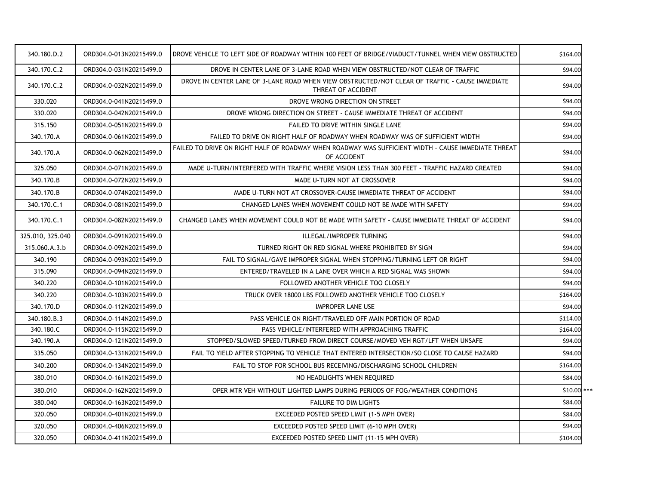| 340.180.D.2      | ORD304.0-013N20215499.0 | DROVE VEHICLE TO LEFT SIDE OF ROADWAY WITHIN 100 FEET OF BRIDGE/VIADUCT/TUNNEL WHEN VIEW OBSTRUCTED                   | \$164.00     |
|------------------|-------------------------|-----------------------------------------------------------------------------------------------------------------------|--------------|
| 340.170.C.2      | ORD304.0-031N20215499.0 | DROVE IN CENTER LANE OF 3-LANE ROAD WHEN VIEW OBSTRUCTED/NOT CLEAR OF TRAFFIC                                         | \$94.00      |
| 340.170.C.2      | ORD304.0-032N20215499.0 | DROVE IN CENTER LANE OF 3-LANE ROAD WHEN VIEW OBSTRUCTED/NOT CLEAR OF TRAFFIC - CAUSE IMMEDIATE<br>THREAT OF ACCIDENT | \$94.00      |
| 330.020          | ORD304.0-041N20215499.0 | DROVE WRONG DIRECTION ON STREET                                                                                       | \$94.00      |
| 330.020          | ORD304.0-042N20215499.0 | DROVE WRONG DIRECTION ON STREET - CAUSE IMMEDIATE THREAT OF ACCIDENT                                                  | \$94.00      |
| 315.150          | ORD304.0-051N20215499.0 | <b>FAILED TO DRIVE WITHIN SINGLE LANE</b>                                                                             | \$94.00      |
| 340.170.A        | ORD304.0-061N20215499.0 | FAILED TO DRIVE ON RIGHT HALF OF ROADWAY WHEN ROADWAY WAS OF SUFFICIENT WIDTH                                         | \$94.00      |
| 340.170.A        | ORD304.0-062N20215499.0 | FAILED TO DRIVE ON RIGHT HALF OF ROADWAY WHEN ROADWAY WAS SUFFICIENT WIDTH - CAUSE IMMEDIATE THREAT<br>OF ACCIDENT    | \$94.00      |
| 325.050          | ORD304.0-071N20215499.0 | MADE U-TURN/INTERFERED WITH TRAFFIC WHERE VISION LESS THAN 300 FEET - TRAFFIC HAZARD CREATED                          | \$94.00      |
| 340.170.B        | ORD304.0-072N20215499.0 | MADE U-TURN NOT AT CROSSOVER                                                                                          | \$94.00      |
| 340.170.B        | ORD304.0-074N20215499.0 | MADE U-TURN NOT AT CROSSOVER-CAUSE IMMEDIATE THREAT OF ACCIDENT                                                       | \$94.00      |
| 340.170.C.1      | ORD304.0-081N20215499.0 | CHANGED LANES WHEN MOVEMENT COULD NOT BE MADE WITH SAFETY                                                             | \$94.00      |
| 340.170.C.1      | ORD304.0-082N20215499.0 | CHANGED LANES WHEN MOVEMENT COULD NOT BE MADE WITH SAFETY - CAUSE IMMEDIATE THREAT OF ACCIDENT                        | \$94.00      |
| 325.010, 325.040 | ORD304.0-091N20215499.0 | ILLEGAL/IMPROPER TURNING                                                                                              | \$94.00      |
| 315.060.A.3.b    | ORD304.0-092N20215499.0 | TURNED RIGHT ON RED SIGNAL WHERE PROHIBITED BY SIGN                                                                   | \$94.00      |
| 340.190          | ORD304.0-093N20215499.0 | FAIL TO SIGNAL/GAVE IMPROPER SIGNAL WHEN STOPPING/TURNING LEFT OR RIGHT                                               | \$94.00      |
| 315.090          | ORD304.0-094N20215499.0 | ENTERED/TRAVELED IN A LANE OVER WHICH A RED SIGNAL WAS SHOWN                                                          | \$94.00      |
| 340.220          | ORD304.0-101N20215499.0 | FOLLOWED ANOTHER VEHICLE TOO CLOSELY                                                                                  | \$94.00      |
| 340.220          | ORD304.0-103N20215499.0 | TRUCK OVER 18000 LBS FOLLOWED ANOTHER VEHICLE TOO CLOSELY                                                             | \$164.00     |
| 340.170.D        | ORD304.0-112N20215499.0 | <b>IMPROPER LANE USE</b>                                                                                              | \$94.00      |
| 340.180.B.3      | ORD304.0-114N20215499.0 | PASS VEHICLE ON RIGHT/TRAVELED OFF MAIN PORTION OF ROAD                                                               | \$114.00     |
| 340.180.C        | ORD304.0-115N20215499.0 | PASS VEHICLE/INTERFERED WITH APPROACHING TRAFFIC                                                                      | \$164.00     |
| 340.190.A        | ORD304.0-121N20215499.0 | STOPPED/SLOWED SPEED/TURNED FROM DIRECT COURSE/MOVED VEH RGT/LFT WHEN UNSAFE                                          | \$94.00      |
| 335.050          | ORD304.0-131N20215499.0 | FAIL TO YIELD AFTER STOPPING TO VEHICLE THAT ENTERED INTERSECTION/SO CLOSE TO CAUSE HAZARD                            | \$94.00      |
| 340.200          | ORD304.0-134N20215499.0 | FAIL TO STOP FOR SCHOOL BUS RECEIVING/DISCHARGING SCHOOL CHILDREN                                                     | \$164.00     |
| 380.010          | ORD304.0-161N20215499.0 | NO HEADLIGHTS WHEN REOUIRED                                                                                           | \$84.00      |
| 380.010          | ORD304.0-162N20215499.0 | OPER MTR VEH WITHOUT LIGHTED LAMPS DURING PERIODS OF FOG/WEATHER CONDITIONS                                           | $$10.00$ *** |
| 380.040          | ORD304.0-163N20215499.0 | <b>FAILURE TO DIM LIGHTS</b>                                                                                          | \$84.00      |
| 320.050          | ORD304.0-401N20215499.0 | EXCEEDED POSTED SPEED LIMIT (1-5 MPH OVER)                                                                            | \$84.00      |
| 320.050          | ORD304.0-406N20215499.0 | EXCEEDED POSTED SPEED LIMIT (6-10 MPH OVER)                                                                           | \$94.00      |
| 320.050          | ORD304.0-411N20215499.0 | EXCEEDED POSTED SPEED LIMIT (11-15 MPH OVER)                                                                          | \$104.00     |